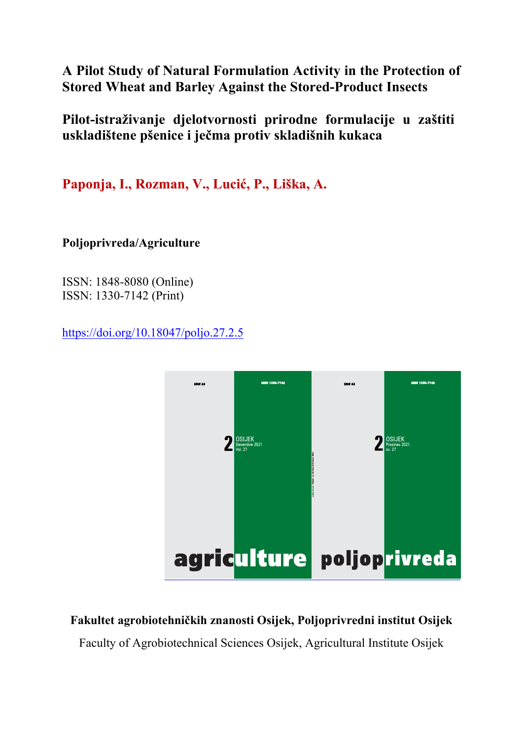# **A Pilot Study of Natural Formulation Activity in the Protection of Stored Wheat and Barley Against the Stored-Product Insects**

**Pilot-istraživanje djelotvornosti prirodne formulacije u zaštiti uskladištene pšenice i ječma protiv skladišnih kukaca** 

**Paponja, I., Rozman, V., Lucić, P., Liška, A.**

**Poljoprivreda/Agriculture** 

ISSN: 1848-8080 (Online) ISSN: 1330-7142 (Print)

https://doi.org/10.18047/poljo.27.2.5



# **Fakultet agrobiotehničkih znanosti Osijek, Poljoprivredni institut Osijek**

Faculty of Agrobiotechnical Sciences Osijek, Agricultural Institute Osijek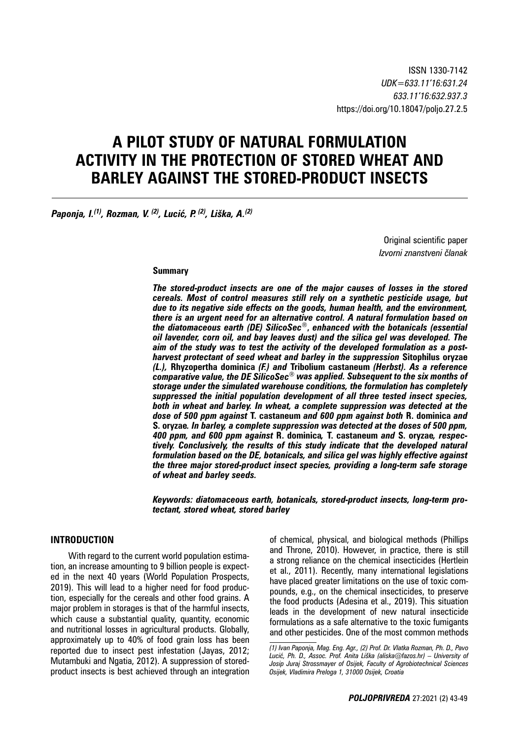# **A PILOT STUDY OF NATURAL FORMULATION ACTIVITY IN THE PROTECTION OF STORED WHEAT AND BARLEY AGAINST THE STORED-PRODUCT INSECTS**

*Paponja, I.(1), Rozman, V. (2), Lucić, P. (2), Liška, A.(2)*

Original scientific paper *Izvorni znanstveni članak*

#### **Summary**

*The stored-product insects are one of the major causes of losses in the stored cereals. Most of control measures still rely on a synthetic pesticide usage, but due to its negative side effects on the goods, human health, and the environment, there is an urgent need for an alternative control. A natural formulation based on the diatomaceous earth (DE) SilicoSec®***,** *enhanced with the botanicals (essential oil lavender, corn oil, and bay leaves dust) and the silica gel was developed. The aim of the study was to test the activity of the developed formulation as a postharvest protectant of seed wheat and barley in the suppression* **Sitophilus oryzae**  *(L.),* **Rhyzopertha dominica** *(F.) and* **Tribolium castaneum** *(Herbst). As a reference comparative value, the DE SilicoSec® was applied. Subsequent to the six months of storage under the simulated warehouse conditions, the formulation has completely suppressed the initial population development of all three tested insect species, both in wheat and barley. In wheat, a complete suppression was detected at the dose of 500 ppm against* **T. castaneum** *and 600 ppm against both* **R. dominica** *and*  **S. oryzae***. In barley, a complete suppression was detected at the doses of 500 ppm, 400 ppm, and 600 ppm against* **R. dominica***,* **T. castaneum** *and* **S. oryzae***, respectively. Conclusively, the results of this study indicate that the developed natural formulation based on the DE, botanicals, and silica gel was highly effective against the three major stored-product insect species, providing a long-term safe storage of wheat and barley seeds.*

*Keywords: diatomaceous earth, botanicals, stored-product insects, long-term protectant, stored wheat, stored barley*

### **INTRODUCTION**

With regard to the current world population estimation, an increase amounting to 9 billion people is expected in the next 40 years (World Population Prospects, 2019). This will lead to a higher need for food production, especially for the cereals and other food grains. A major problem in storages is that of the harmful insects, which cause a substantial quality, quantity, economic and nutritional losses in agricultural products. Globally, approximately up to 40% of food grain loss has been reported due to insect pest infestation (Jayas, 2012; Mutambuki and Ngatia, 2012). A suppression of storedproduct insects is best achieved through an integration

of chemical, physical, and biological methods (Phillips and Throne, 2010). However, in practice, there is still a strong reliance on the chemical insecticides (Hertlein et al., 2011). Recently, many international legislations have placed greater limitations on the use of toxic compounds, e.g., on the chemical insecticides, to preserve the food products (Adesina et al., 2019). This situation leads in the development of new natural insecticide formulations as a safe alternative to the toxic fumigants and other pesticides. One of the most common methods

*<sup>(1)</sup> Ivan Paponja, Mag. Eng. Agr., (2) Prof. Dr. Vlatka Rozman, Ph. D., Pavo Lucić, Ph. D., Assoc. Prof. Anita Liška (aliska@fazos.hr) – University of Josip Juraj Strossmayer of Osijek, Faculty of Agrobiotechnical Sciences Osijek, Vladimira Preloga 1, 31000 Osijek, Croatia*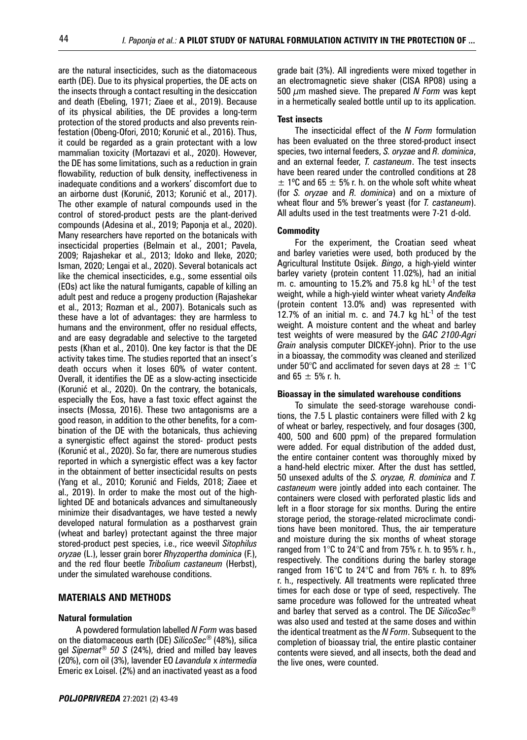are the natural insecticides, such as the diatomaceous earth (DE). Due to its physical properties, the DE acts on the insects through a contact resulting in the desiccation and death (Ebeling, 1971; Ziaee et al., 2019). Because of its physical abilities, the DE provides a long-term protection of the stored products and also prevents reinfestation (Obeng-Ofori, 2010; Korunić et al., 2016). Thus, it could be regarded as a grain protectant with a low mammalian toxicity (Mortazavi et al., 2020). However, the DE has some limitations, such as a reduction in grain flowability, reduction of bulk density, ineffectiveness in inadequate conditions and a workers' discomfort due to an airborne dust (Korunić, 2013; Korunić et al., 2017). The other example of natural compounds used in the control of stored-product pests are the plant-derived compounds (Adesina et al., 2019; Paponja et al., 2020). Many researchers have reported on the botanicals with insecticidal properties (Belmain et al., 2001; Pavela, 2009; Rajashekar et al., 2013; Idoko and Ileke, 2020; Isman, 2020; Lengai et al., 2020). Several botanicals act like the chemical insecticides, e.g., some essential oils (EOs) act like the natural fumigants, capable of killing an adult pest and reduce a progeny production (Rajashekar et al., 2013; Rozman et al., 2007). Botanicals such as these have a lot of advantages: they are harmless to humans and the environment, offer no residual effects, and are easy degradable and selective to the targeted pests (Khan et al., 2010). One key factor is that the DE activity takes time. The studies reported that an insect's death occurs when it loses 60% of water content. Overall, it identifies the DE as a slow-acting insecticide (Korunić et al., 2020). On the contrary, the botanicals, especially the Eos, have a fast toxic effect against the insects (Mossa, 2016). These two antagonisms are a good reason, in addition to the other benefits, for a combination of the DE with the botanicals, thus achieving a synergistic effect against the stored- product pests (Korunić et al., 2020). So far, there are numerous studies reported in which a synergistic effect was a key factor in the obtainment of better insecticidal results on pests (Yang et al., 2010; Korunić and Fields, 2018; Ziaee et al., 2019). In order to make the most out of the highlighted DE and botanicals advances and simultaneously minimize their disadvantages, we have tested a newly developed natural formulation as a postharvest grain (wheat and barley) protectant against the three major stored-product pest species, i.e., rice weevil *Sitophilus oryzae* (L.), lesser grain borer *Rhyzopertha dominica* (F.), and the red flour beetle *Tribolium castaneum* (Herbst), under the simulated warehouse conditions.

### **MATERIALS AND METHODS**

#### **Natural formulation**

A powdered formulation labelled *N Form* was based on the diatomaceous earth (DE) *SilicoSec*® (48%), silica gel *Sipernat® 50 S* (24%), dried and milled bay leaves (20%), corn oil (3%), lavender EO *Lavandula* x *intermedia* Emeric ex Loisel. (2%) and an inactivated yeast as a food grade bait (3%). All ingredients were mixed together in an electromagnetic sieve shaker (CISA RP08) using a 500 μm mashed sieve. The prepared *N Form* was kept in a hermetically sealed bottle until up to its application.

#### **Test insects**

The insecticidal effect of the *N Form* formulation has been evaluated on the three stored-product insect species, two internal feeders, *S. oryzae* and *R. dominica*, and an external feeder, *T. castaneum*. The test insects have been reared under the controlled conditions at 28  $\pm$  1°C and 65  $\pm$  5% r. h. on the whole soft white wheat (for *S. oryzae* and *R. dominica*) and on a mixture of wheat flour and 5% brewer's yeast (for *T. castaneum*). All adults used in the test treatments were 7-21 d-old.

#### **Commodity**

For the experiment, the Croatian seed wheat and barley varieties were used, both produced by the Agricultural Institute Osijek. *Bingo*, a high-yield winter barley variety (protein content 11.02%), had an initial m. c. amounting to 15.2% and 75.8 kg  $hL^{-1}$  of the test weight, while a high-yield winter wheat variety *Anđelka* (protein content 13.0% and) was represented with  $12.7%$  of an initial m. c. and 74.7 kg  $hL^{-1}$  of the test weight. A moisture content and the wheat and barley test weights of were measured by the *GAC 2100-Agri Grain* analysis computer DICKEY-john). Prior to the use in a bioassay, the commodity was cleaned and sterilized under 50°C and acclimated for seven days at 28  $\pm$  1°C and 65  $\pm$  5% r. h.

#### **Bioassay in the simulated warehouse conditions**

To simulate the seed-storage warehouse conditions, the 7.5 L plastic containers were filled with 2 kg of wheat or barley, respectively, and four dosages (300, 400, 500 and 600 ppm) of the prepared formulation were added. For equal distribution of the added dust, the entire container content was thoroughly mixed by a hand-held electric mixer. After the dust has settled, 50 unsexed adults of the *S. oryzae, R. dominica* and *T. castaneum* were jointly added into each container. The containers were closed with perforated plastic lids and left in a floor storage for six months. During the entire storage period, the storage-related microclimate conditions have been monitored. Thus, the air temperature and moisture during the six months of wheat storage ranged from 1°C to 24°C and from 75% r. h. to 95% r. h., respectively. The conditions during the barley storage ranged from 16°C to 24°C and from 76% r. h. to 89% r. h., respectively. All treatments were replicated three times for each dose or type of seed, respectively. The same procedure was followed for the untreated wheat and barley that served as a control. The DE *SilicoSec®* was also used and tested at the same doses and within the identical treatment as the *N Form*. Subsequent to the completion of bioassay trial, the entire plastic container contents were sieved, and all insects, both the dead and the live ones, were counted.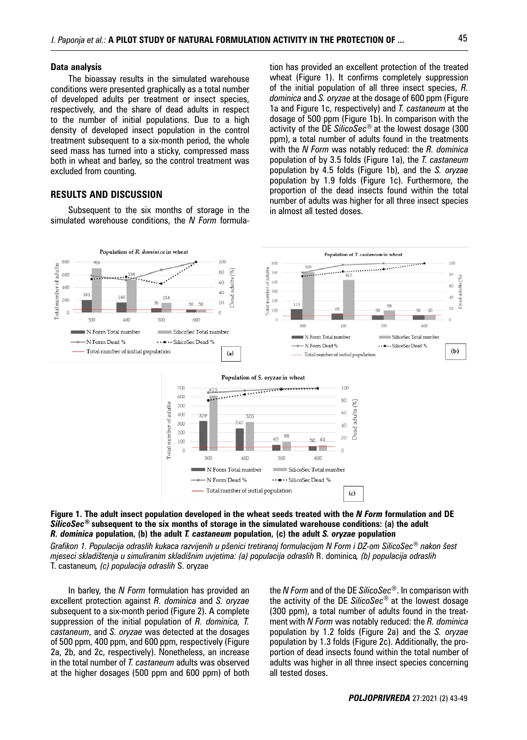#### **Data analysis**

The bioassay results in the simulated warehouse conditions were presented graphically as a total number of developed adults per treatment or insect species, respectively, and the share of dead adults in respect to the number of initial populations. Due to a high density of developed insect population in the control treatment subsequent to a six-month period, the whole seed mass has turned into a sticky, compressed mass both in wheat and barley, so the control treatment was excluded from counting.

#### **RESULTS AND DISCUSSION**

Subsequent to the six months of storage in the simulated warehouse conditions, the *N Form* formula-

tion has provided an excellent protection of the treated wheat (Figure 1). It confirms completely suppression of the initial population of all three insect species, *R. dominica* and *S. oryzae* at the dosage of 600 ppm (Figure 1a and Figure 1c, respectively) and *T. castaneum* at the dosage of 500 ppm (Figure 1b). In comparison with the activity of the DE *SilicoSec®* at the lowest dosage (300 ppm), a total number of adults found in the treatments with the *N Form* was notably reduced: the *R. dominica*  population of by 3.5 folds (Figure 1a), the *T. castaneum*  population by 4.5 folds (Figure 1b), and the *S. oryzae*  population by 1.9 folds (Figure 1c). Furthermore, the proportion of the dead insects found within the total number of adults was higher for all three insect species in almost all tested doses.





*Grafikon 1. Populacija odraslih kukaca razvijenih u pšenici tretiranoj formulacijom N Form i DZ-om SilicoSec® nakon šest mjeseci skladištenja u simuliranim skladišnim uvjetima: (a) populacija odraslih* R. dominica*, (b) populacija odraslih*  T. castaneum*, (c) populacija odraslih* S. oryzae

In barley, the *N Form* formulation has provided an excellent protection against *R. dominica* and *S. oryzae*  subsequent to a six-month period (Figure 2). A complete suppression of the initial population of *R. dominica, T. castaneum*, and *S. oryzae* was detected at the dosages of 500 ppm, 400 ppm, and 600 ppm, respectively (Figure 2a, 2b, and 2c, respectively). Nonetheless, an increase in the total number of *T. castaneum* adults was observed at the higher dosages (500 ppm and 600 ppm) of both the *N Form* and of the DE *SilicoSec®*. In comparison with the activity of the DE *SilicoSec®* at the lowest dosage (300 ppm), a total number of adults found in the treatment with *N Form* was notably reduced: the *R. dominica*  population by 1.2 folds (Figure 2a) and the *S. oryzae*  population by 1.3 folds (Figure 2c). Additionally, the proportion of dead insects found within the total number of adults was higher in all three insect species concerning all tested doses.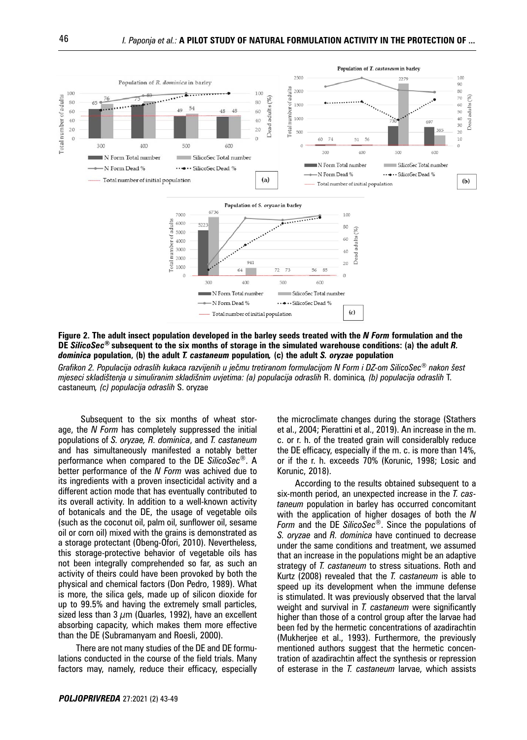

**Figure 2. The adult insect population developed in the barley seeds treated with the** *N Form* **formulation and the DE** *SilicoSec***® subsequent to the six months of storage in the simulated warehouse conditions: (a) the adult** *R. dominica* **population, (b) the adult** *T. castaneum* **population***,* **(c) the adult** *S. oryzae* **population** 

*Grafikon 2. Populacija odraslih kukaca razvijenih u ječmu tretiranom formulacijom N Form i DZ-om SilicoSec® nakon šest mjeseci skladištenja u simuliranim skladišnim uvjetima: (a) populacija odraslih* R. dominica*, (b) populacija odraslih* T. castaneum*, (c) populacija odraslih* S. oryzae

 Subsequent to the six months of wheat storage, the *N Form* has completely suppressed the initial populations of *S. oryzae, R. dominica*, and *T. castaneum* and has simultaneously manifested a notably better performance when compared to the DE *SilicoSec®*. A better performance of the *N Form* was achived due to its ingredients with a proven insecticidal activity and a different action mode that has eventually contributed to its overall activity. In addition to a well-known activity of botanicals and the DE, the usage of vegetable oils (such as the coconut oil, palm oil, sunflower oil, sesame oil or corn oil) mixed with the grains is demonstrated as a storage protectant (Obeng-Ofori, 2010). Nevertheless, this storage-protective behavior of vegetable oils has not been integrally comprehended so far, as such an activity of theirs could have been provoked by both the physical and chemical factors (Don Pedro, 1989). What is more, the silica gels, made up of silicon dioxide for up to 99.5% and having the extremely small particles, sized less than 3  $\mu$ m (Quarles, 1992), have an excellent absorbing capacity, which makes them more effective than the DE (Subramanyam and Roesli, 2000).

There are not many studies of the DE and DE formulations conducted in the course of the field trials. Many factors may, namely, reduce their efficacy, especially the microclimate changes during the storage (Stathers et al., 2004; Pierattini et al., 2019). An increase in the m. c. or r. h. of the treated grain will consideralbly reduce the DE efficacy, especially if the m. c. is more than 14%, or if the r. h. exceeds 70% (Korunic, 1998; Losic and Korunic, 2018).

According to the results obtained subsequent to a six*-*month period, an unexpected increase in the *T. castaneum* population in barley has occurred concomitant with the application of higher dosages of both the *N Form* and the DE *SilicoSec®*. Since the populations of *S. oryzae* and *R. dominica* have continued to decrease under the same conditions and treatment, we assumed that an increase in the populations might be an adaptive strategy of *T. castaneum* to stress situations. Roth and Kurtz (2008) revealed that the *T. castaneum* is able to speed up its development when the immune defense is stimulated. It was previously observed that the larval weight and survival in *T. castaneum* were significantly higher than those of a control group after the larvae had been fed by the hermetic concentrations of azadirachtin (Mukherjee et al., 1993). Furthermore, the previously mentioned authors suggest that the hermetic concentration of azadirachtin affect the synthesis or repression of esterase in the *T. castaneum* larvae, which assists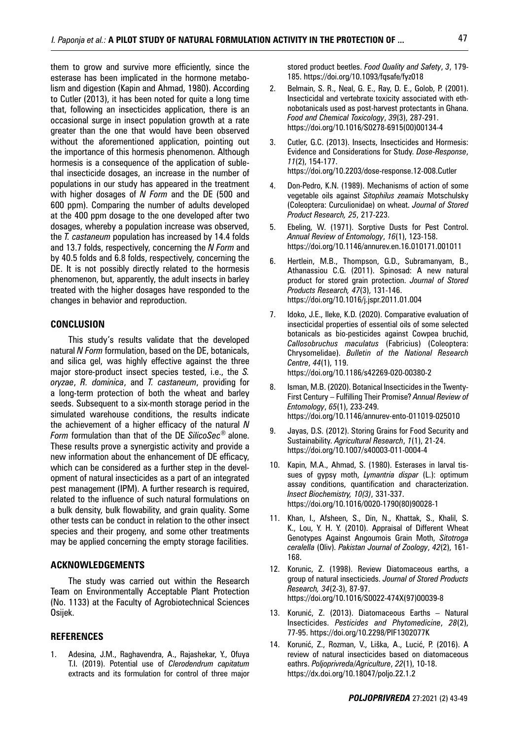them to grow and survive more efficiently, since the esterase has been implicated in the hormone metabolism and digestion (Kapin and Ahmad, 1980). According to Cutler (2013), it has been noted for quite a long time that, following an insecticides application, there is an occasional surge in insect population growth at a rate greater than the one that would have been observed without the aforementioned application, pointing out the importance of this hormesis phenomenon. Although hormesis is a consequence of the application of sublethal insecticide dosages, an increase in the number of populations in our study has appeared in the treatment with higher dosages of *N Form* and the DE (500 and 600 ppm). Comparing the number of adults developed at the 400 ppm dosage to the one developed after two dosages, whereby a population increase was observed, the *T. castaneum* population has increased by 14.4 folds and 13.7 folds, respectively, concerning the *N Form* and by 40.5 folds and 6.8 folds, respectively, concerning the DE. It is not possibly directly related to the hormesis phenomenon, but, apparently, the adult insects in barley treated with the higher dosages have responded to the changes in behavior and reproduction.

#### **CONCLUSION**

This study's results validate that the developed natural *N Form* formulation, based on the DE, botanicals, and silica gel, was highly effective against the three major store*-*product insect species tested, i.e., the *S. oryzae*, *R. dominica*, and *T. castaneum*, providing for a long-term protection of both the wheat and barley seeds. Subsequent to a six-month storage period in the simulated warehouse conditions, the results indicate the achievement of a higher efficacy of the natural *N Form* formulation than that of the DE *SilicoSec®* alone. These results prove a synergistic activity and provide a new information about the enhancement of DE efficacy, which can be considered as a further step in the development of natural insecticides as a part of an integrated pest management (IPM). A further research is required, related to the influence of such natural formulations on a bulk density, bulk flowability, and grain quality. Some other tests can be conduct in relation to the other insect species and their progeny, and some other treatments may be applied concerning the empty storage facilities.

#### **ACKNOWLEDGEMENTS**

The study was carried out within the Research Team on Environmentally Acceptable Plant Protection (No. 1133) at the Faculty of Agrobiotechnical Sciences Osijek.

### **REFERENCES**

1. Adesina, J.M., Raghavendra, A., Rajashekar, Y., Ofuya T.I. (2019). Potential use of *Clerodendrum capitatum* extracts and its formulation for control of three major stored product beetles. *Food Quality and Safety*, *3*, 179- 185. https://doi.org/10.1093/fqsafe/fyz018

- 2. Belmain, S. R., Neal, G. E., Ray, D. E., Golob, P. (2001). Insecticidal and vertebrate toxicity associated with ethnobotanicals used as post-harvest protectants in Ghana. *Food and Chemical Toxicology*, *39*(3), 287-291. https://doi.org/10.1016/S0278-6915(00)00134-4
- 3. Cutler, G.C. (2013). Insects, Insecticides and Hormesis: Evidence and Considerations for Study. *Dose-Response*, *11*(2), 154-177. https://doi.org/10.2203/dose-response.12-008.Cutler
- 4. Don-Pedro, K.N. (1989). Mechanisms of action of some vegetable oils against *Sitophilus zeamais* Motschulsky (Coleoptera: Curculionidae) on wheat. *Journal of Stored Product Research, 25*, 217-223.
- 5. Ebeling, W. (1971). Sorptive Dusts for Pest Control. *Annual Review of Entomology*, *16*(1), 123-158. https://doi.org/10.1146/annurev.en.16.010171.001011
- 6. Hertlein, M.B., Thompson, G.D., Subramanyam, B., Athanassiou C.G. (2011). Spinosad: A new natural product for stored grain protection. *Journal of Stored Products Research, 47*(3), 131-146. https://doi.org/10.1016/j.jspr.2011.01.004
- 7. Idoko, J.E., Ileke, K.D. (2020). Comparative evaluation of insecticidal properties of essential oils of some selected botanicals as bio-pesticides against Cowpea bruchid, *Callosobruchus maculatus* (Fabricius) (Coleoptera: Chrysomelidae). *Bulletin of the National Research Centre*, *44*(1), 119. https://doi.org/10.1186/s42269-020-00380-2
- 8. Isman, M.B. (2020). Botanical Insecticides in the Twenty-First Century – Fulfilling Their Promise? *Annual Review of Entomology*, *65*(1), 233-249. https://doi.org/10.1146/annurev-ento-011019-025010
- 9. Jayas, D.S. (2012). Storing Grains for Food Security and Sustainability. *Agricultural Research*, *1*(1), 21-24. https://doi.org/10.1007/s40003-011-0004-4
- 10. Kapin, M.A., Ahmad, S. (1980). Esterases in larval tissues of gypsy moth, *Lymantria dispar* (L.): optimum assay conditions, quantification and characterization. *Insect Biochemistry, 10(3)*, 331-337. https://doi.org/10.1016/0020-1790(80)90028-1
- 11. Khan, I., Afsheen, S., Din, N., Khattak, S., Khalil, S. K., Lou, Y. H. Y. (2010). Appraisal of Different Wheat Genotypes Against Angoumois Grain Moth, *Sitotroga ceralella* (Oliv). *Pakistan Journal of Zoology*, *42*(2), 161- 168.
- 12. Korunic, Z. (1998). Review Diatomaceous earths, a group of natural insecticieds. *Journal of Stored Products Research, 34*(2-3), 87-97. https://doi.org/10.1016/S0022-474X(97)00039-8
- 13. Korunić, Z. (2013). Diatomaceous Earths Natural Insecticides. *Pesticides and Phytomedicine*, *28*(2), 77-95. https://doi.org/10.2298/PIF1302077K
- 14. Korunić, Z., Rozman, V., Liška, A., Lucić, P. (2016). A review of natural insecticides based on diatomaceous eathrs. *Poljoprivreda/Agriculture*, *22*(1), 10-18. https://dx.doi.org/10.18047/poljo.22.1.2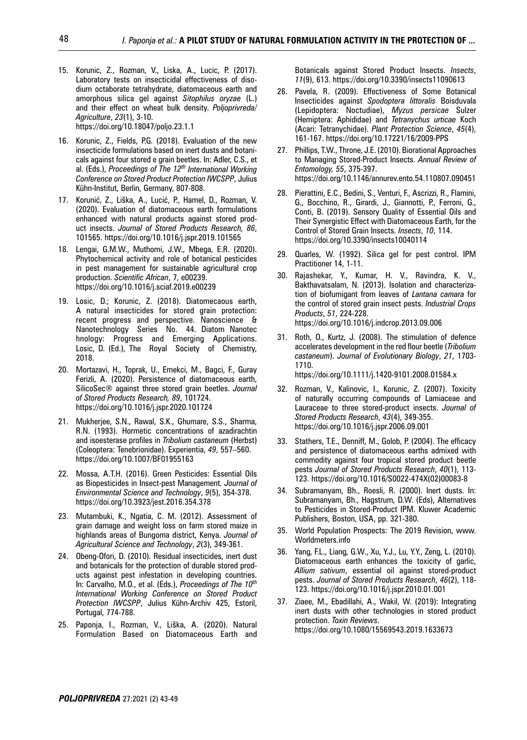- 15. Korunic, Z., Rozman, V., Liska, A., Lucic, P. (2017). Laboratory tests on insecticidal effectiveness of disodium octaborate tetrahydrate, diatomaceous earth and amorphous silica gel against *Sitophilus oryzae* (L.) and their effect on wheat bulk density. *Poljoprivreda/ Agriculture*, *23*(1), 3-10. https://doi.org/10.18047/poljo.23.1.1
- 16. Korunic, Z., Fields, P.G. (2018). Evaluation of the new insecticide formulations based on inert dusts and botanicals against four stored e grain beetles. In: Adler, C.S., et al. (Eds.), *Proceedings of The 12th International Working Conference on Stored Product Protection IWCSPP*, Julius Kühn-Institut, Berlin, Germany, 807-808.
- 17. Korunić, Z., Liška, A., Lucić, P., Hamel, D., Rozman, V. (2020). Evaluation of diatomaceous earth formulations enhanced with natural products against stored product insects. *Journal of Stored Products Research, 86*, 101565. https://doi.org/10.1016/j.jspr.2019.101565
- 18. Lengai, G.M.W., Muthomi, J.W., Mbega, E.R. (2020). Phytochemical activity and role of botanical pesticides in pest management for sustainable agricultural crop production. *Scientific African*, 7, e00239. https://doi.org/10.1016/j.sciaf.2019.e00239
- 19. Losic, D.; Korunic, Z. (2018). Diatomecaous earth, A natural insecticides for stored grain protection: recent progress and perspective. Nanoscience & Nanotechnology Series No. 44. Diatom Nanotec hnology: Progress and Emerging Applications. Losic, D. (Ed.), The Royal Society of Chemistry, 2018.
- 20. Mortazavi, H., Toprak, U., Emekci, M., Bagci, F., Guray Ferizli, A. (2020). Persistence of diatomaceous earth, SilicoSec® against three stored grain beetles. *Journal of Stored Products Research, 89*, 101724. https://doi.org/10.1016/j.jspr.2020.101724
- 21. Mukherjee, S.N., Rawal, S.K., Ghumare, S.S., Sharma, R.N. (1993). Hormetic concentrations of azadirachtin and isoesterase profiles in *Tribolium castaneum* (Herbst) (Coleoptera: Tenebrionidae). Experientia, *49*, 557–560. https://doi.org/10.1007/BF01955163
- 22. Mossa, A.T.H. (2016). Green Pesticides: Essential Oils as Biopesticides in Insect-pest Management*. Journal of Environmental Science and Technology*, *9*(5), 354-378. https://doi.org/10.3923/jest.2016.354.378
- 23. Mutambuki, K., Ngatia, C. M. (2012). Assessment of grain damage and weight loss on farm stored maize in highlands areas of Bungoma district, Kenya. *Journal of Agricultural Science and Technology*, *2*(3), 349-361.
- 24. Obeng-Ofori, D. (2010). Residual insecticides, inert dust and botanicals for the protection of durable stored products against pest infestation in developing countries. In: Carvalho, M.O., et al. (Eds.), *Proceedings of The 10th International Working Conference on Stored Product Protection IWCSPP*, Julius Kühn-Archiv 425, Estoril, Portugal, 774-788.
- 25. Paponja, I., Rozman, V., Liška, A. (2020). Natural Formulation Based on Diatomaceous Earth and

Botanicals against Stored Product Insects. *Insects*, *11*(9), 613. https://doi.org/10.3390/insects11090613

- 26. Pavela, R. (2009). Effectiveness of Some Botanical Insecticides against *Spodoptera littoralis* Boisduvala (Lepidoptera: Noctudiae), *Myzus persicae* Sulzer (Hemiptera: Aphididae) and *Tetranychus urticae* Koch (Acari: Tetranychidae). *Plant Protection Science*, *45*(4), 161-167. https://doi.org/10.17221/16/2009-PPS
- 27. Phillips, T.W., Throne, J.E. (2010). Biorational Approaches to Managing Stored-Product Insects. *Annual Review of Entomology, 55*, 375-397. https://doi.org/10.1146/annurev.ento.54.110807.090451
- 28. Pierattini, E.C., Bedini, S., Venturi, F., Ascrizzi, R., Flamini, G., Bocchino, R., Girardi, J., Giannotti, P., Ferroni, G., Conti, B. (2019). Sensory Quality of Essential Oils and Their Synergistic Effect with Diatomaceous Earth, for the Control of Stored Grain Insects. *Insects*, *10*, 114. https://doi.org/10.3390/insects10040114
- 29. Quarles, W. (1992). Silica gel for pest control. IPM Practitioner 14, 1-11.
- 30. Rajashekar, Y., Kumar, H. V., Ravindra, K. V., Bakthavatsalam, N. (2013). Isolation and characterization of biofumigant from leaves of *Lantana camara* for the control of stored grain insect pests. *Industrial Crops Products*, *51*, 224-228. https://doi.org/10.1016/j.indcrop.2013.09.006
- 31. Roth, O., Kurtz, J. (2008). The stimulation of defence accelerates development in the red flour beetle (*Tribolium castaneum*). *Journal of Evolutionary Biology*, *21*, 1703- 1710.

https://doi.org/10.1111/j.1420-9101.2008.01584.x

- 32. Rozman, V., Kalinovic, I., Korunic, Z. (2007). Toxicity of naturally occurring compounds of Lamiaceae and Lauraceae to three stored-product insects. *Journal of Stored Products Research*, *43*(4), 349-355. https://doi.org/10.1016/j.jspr.2006.09.001
- 33. Stathers, T.E., Denniff, M., Golob, P. (2004). The efficacy and persistence of diatomaceous earths admixed with commodity against four tropical stored product beetle pests *Journal of Stored Products Research*, *40*(1), 113- 123. https://doi.org/10.1016/S0022-474X(02)00083-8
- 34. Subramanyam, Bh., Roesli, R. (2000). Inert dusts. In: Subramanyam, Bh., Hagstrum, D.W. (Eds), Alternatives to Pesticides in Stored-Product IPM. Kluwer Academic Publishers, Boston, USA, pp. 321-380.
- 35. World Population Prospects: The 2019 Revision, www. Worldmeters.info
- 36. Yang, F.L., Liang, G.W., Xu, Y.J., Lu, Y.Y., Zeng, L. (2010). Diatomaceous earth enhances the toxicity of garlic, *Allium sativum*, essential oil against stored-product pests. *Journal of Stored Products Research*, *46*(2), 118- 123. https://doi.org/10.1016/j.jspr.2010.01.001
- 37. Ziaee, M., Ebadillahi, A., Wakil, W. (2019): Integrating inert dusts with other technologies in stored product protection. *Toxin Reviews*. https://doi.org/10.1080/15569543.2019.1633673